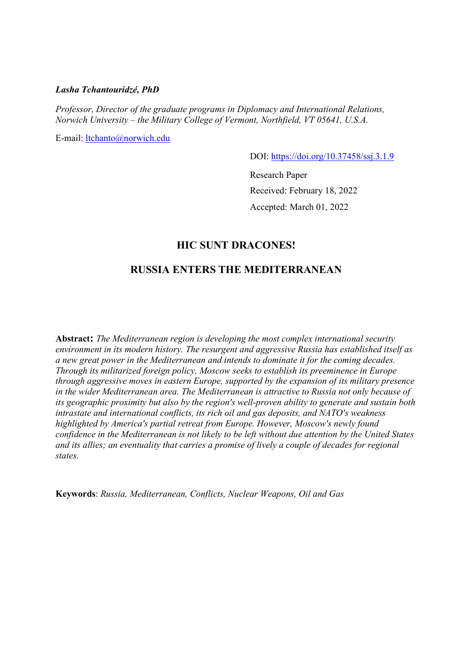## Lasha Tchantouridzé, PhD

Professor, Director of the graduate programs in Diplomacy and International Relations, Norwich University – the Military College of Vermont, Northfield, VT 05641, U.S.A.

E-mail: ltchanto@norwich.edu

DOI: https://doi.org/10.37458/ssj.3.1.9

Research Paper Received: February 18, 2022 Accepted: March 01, 2022

## HIC SUNT DRACONES!

# RUSSIA ENTERS THE MEDITERRANEAN

Abstract: The Mediterranean region is developing the most complex international security environment in its modern history. The resurgent and aggressive Russia has established itself as a new great power in the Mediterranean and intends to dominate it for the coming decades. Through its militarized foreign policy, Moscow seeks to establish its preeminence in Europe through aggressive moves in eastern Europe, supported by the expansion of its military presence in the wider Mediterranean area. The Mediterranean is attractive to Russia not only because of its geographic proximity but also by the region's well-proven ability to generate and sustain both intrastate and international conflicts, its rich oil and gas deposits, and NATO's weakness highlighted by America's partial retreat from Europe. However, Moscow's newly found confidence in the Mediterranean is not likely to be left without due attention by the United States and its allies; an eventuality that carries a promise of lively a couple of decades for regional states.

Keywords: Russia, Mediterranean, Conflicts, Nuclear Weapons, Oil and Gas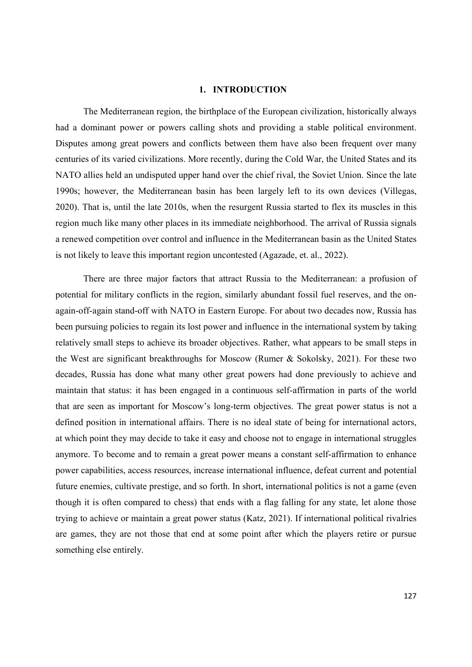### 1. INTRODUCTION

The Mediterranean region, the birthplace of the European civilization, historically always had a dominant power or powers calling shots and providing a stable political environment. Disputes among great powers and conflicts between them have also been frequent over many centuries of its varied civilizations. More recently, during the Cold War, the United States and its NATO allies held an undisputed upper hand over the chief rival, the Soviet Union. Since the late 1990s; however, the Mediterranean basin has been largely left to its own devices (Villegas, 2020). That is, until the late 2010s, when the resurgent Russia started to flex its muscles in this region much like many other places in its immediate neighborhood. The arrival of Russia signals a renewed competition over control and influence in the Mediterranean basin as the United States is not likely to leave this important region uncontested (Agazade, et. al., 2022).

There are three major factors that attract Russia to the Mediterranean: a profusion of potential for military conflicts in the region, similarly abundant fossil fuel reserves, and the onagain-off-again stand-off with NATO in Eastern Europe. For about two decades now, Russia has been pursuing policies to regain its lost power and influence in the international system by taking relatively small steps to achieve its broader objectives. Rather, what appears to be small steps in the West are significant breakthroughs for Moscow (Rumer & Sokolsky, 2021). For these two decades, Russia has done what many other great powers had done previously to achieve and maintain that status: it has been engaged in a continuous self-affirmation in parts of the world that are seen as important for Moscow's long-term objectives. The great power status is not a defined position in international affairs. There is no ideal state of being for international actors, at which point they may decide to take it easy and choose not to engage in international struggles anymore. To become and to remain a great power means a constant self-affirmation to enhance power capabilities, access resources, increase international influence, defeat current and potential future enemies, cultivate prestige, and so forth. In short, international politics is not a game (even though it is often compared to chess) that ends with a flag falling for any state, let alone those trying to achieve or maintain a great power status (Katz, 2021). If international political rivalries are games, they are not those that end at some point after which the players retire or pursue something else entirely.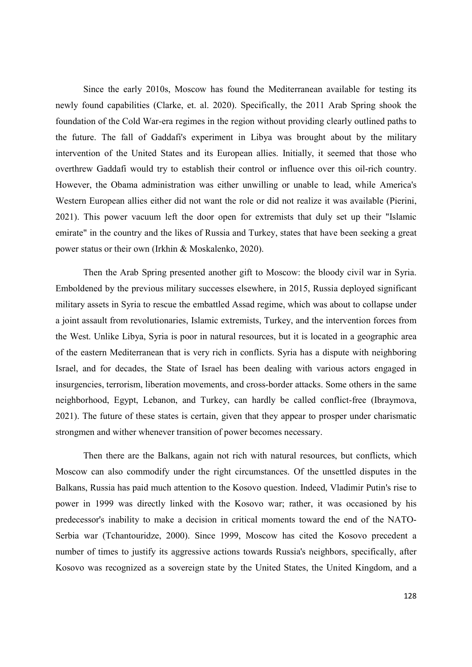Since the early 2010s, Moscow has found the Mediterranean available for testing its newly found capabilities (Clarke, et. al. 2020). Specifically, the 2011 Arab Spring shook the foundation of the Cold War-era regimes in the region without providing clearly outlined paths to the future. The fall of Gaddafi's experiment in Libya was brought about by the military intervention of the United States and its European allies. Initially, it seemed that those who overthrew Gaddafi would try to establish their control or influence over this oil-rich country. However, the Obama administration was either unwilling or unable to lead, while America's Western European allies either did not want the role or did not realize it was available (Pierini, 2021). This power vacuum left the door open for extremists that duly set up their "Islamic emirate" in the country and the likes of Russia and Turkey, states that have been seeking a great power status or their own (Irkhin & Moskalenko, 2020).

Then the Arab Spring presented another gift to Moscow: the bloody civil war in Syria. Emboldened by the previous military successes elsewhere, in 2015, Russia deployed significant military assets in Syria to rescue the embattled Assad regime, which was about to collapse under a joint assault from revolutionaries, Islamic extremists, Turkey, and the intervention forces from the West. Unlike Libya, Syria is poor in natural resources, but it is located in a geographic area of the eastern Mediterranean that is very rich in conflicts. Syria has a dispute with neighboring Israel, and for decades, the State of Israel has been dealing with various actors engaged in insurgencies, terrorism, liberation movements, and cross-border attacks. Some others in the same neighborhood, Egypt, Lebanon, and Turkey, can hardly be called conflict-free (Ibraymova, 2021). The future of these states is certain, given that they appear to prosper under charismatic strongmen and wither whenever transition of power becomes necessary.

Then there are the Balkans, again not rich with natural resources, but conflicts, which Moscow can also commodify under the right circumstances. Of the unsettled disputes in the Balkans, Russia has paid much attention to the Kosovo question. Indeed, Vladimir Putin's rise to power in 1999 was directly linked with the Kosovo war; rather, it was occasioned by his predecessor's inability to make a decision in critical moments toward the end of the NATO-Serbia war (Tchantouridze, 2000). Since 1999, Moscow has cited the Kosovo precedent a number of times to justify its aggressive actions towards Russia's neighbors, specifically, after Kosovo was recognized as a sovereign state by the United States, the United Kingdom, and a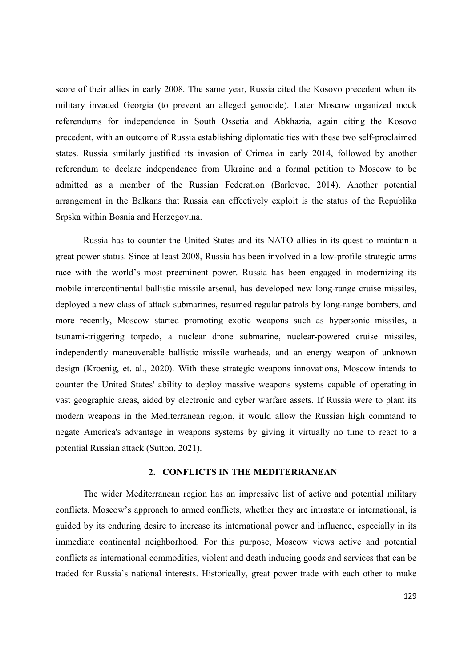score of their allies in early 2008. The same year, Russia cited the Kosovo precedent when its military invaded Georgia (to prevent an alleged genocide). Later Moscow organized mock referendums for independence in South Ossetia and Abkhazia, again citing the Kosovo precedent, with an outcome of Russia establishing diplomatic ties with these two self-proclaimed states. Russia similarly justified its invasion of Crimea in early 2014, followed by another referendum to declare independence from Ukraine and a formal petition to Moscow to be admitted as a member of the Russian Federation (Barlovac, 2014). Another potential arrangement in the Balkans that Russia can effectively exploit is the status of the Republika Srpska within Bosnia and Herzegovina.

Russia has to counter the United States and its NATO allies in its quest to maintain a great power status. Since at least 2008, Russia has been involved in a low-profile strategic arms race with the world's most preeminent power. Russia has been engaged in modernizing its mobile intercontinental ballistic missile arsenal, has developed new long-range cruise missiles, deployed a new class of attack submarines, resumed regular patrols by long-range bombers, and more recently, Moscow started promoting exotic weapons such as hypersonic missiles, a tsunami-triggering torpedo, a nuclear drone submarine, nuclear-powered cruise missiles, independently maneuverable ballistic missile warheads, and an energy weapon of unknown design (Kroenig, et. al., 2020). With these strategic weapons innovations, Moscow intends to counter the United States' ability to deploy massive weapons systems capable of operating in vast geographic areas, aided by electronic and cyber warfare assets. If Russia were to plant its modern weapons in the Mediterranean region, it would allow the Russian high command to negate America's advantage in weapons systems by giving it virtually no time to react to a potential Russian attack (Sutton, 2021).

## 2. CONFLICTS IN THE MEDITERRANEAN

The wider Mediterranean region has an impressive list of active and potential military conflicts. Moscow's approach to armed conflicts, whether they are intrastate or international, is guided by its enduring desire to increase its international power and influence, especially in its immediate continental neighborhood. For this purpose, Moscow views active and potential conflicts as international commodities, violent and death inducing goods and services that can be traded for Russia's national interests. Historically, great power trade with each other to make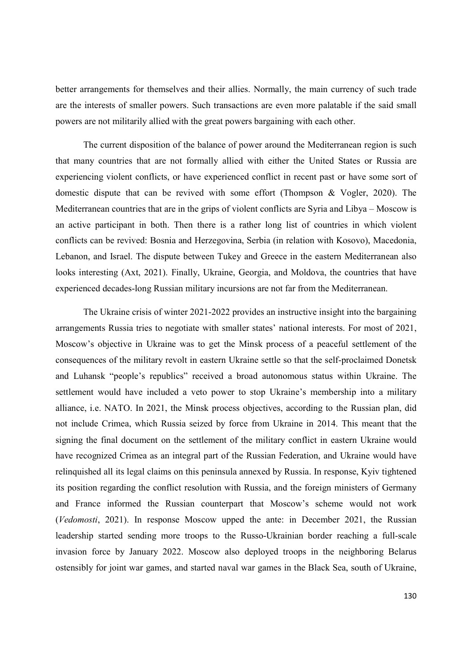better arrangements for themselves and their allies. Normally, the main currency of such trade are the interests of smaller powers. Such transactions are even more palatable if the said small powers are not militarily allied with the great powers bargaining with each other.

The current disposition of the balance of power around the Mediterranean region is such that many countries that are not formally allied with either the United States or Russia are experiencing violent conflicts, or have experienced conflict in recent past or have some sort of domestic dispute that can be revived with some effort (Thompson & Vogler, 2020). The Mediterranean countries that are in the grips of violent conflicts are Syria and Libya – Moscow is an active participant in both. Then there is a rather long list of countries in which violent conflicts can be revived: Bosnia and Herzegovina, Serbia (in relation with Kosovo), Macedonia, Lebanon, and Israel. The dispute between Tukey and Greece in the eastern Mediterranean also looks interesting (Axt, 2021). Finally, Ukraine, Georgia, and Moldova, the countries that have experienced decades-long Russian military incursions are not far from the Mediterranean.

The Ukraine crisis of winter 2021-2022 provides an instructive insight into the bargaining arrangements Russia tries to negotiate with smaller states' national interests. For most of 2021, Moscow's objective in Ukraine was to get the Minsk process of a peaceful settlement of the consequences of the military revolt in eastern Ukraine settle so that the self-proclaimed Donetsk and Luhansk "people's republics" received a broad autonomous status within Ukraine. The settlement would have included a veto power to stop Ukraine's membership into a military alliance, i.e. NATO. In 2021, the Minsk process objectives, according to the Russian plan, did not include Crimea, which Russia seized by force from Ukraine in 2014. This meant that the signing the final document on the settlement of the military conflict in eastern Ukraine would have recognized Crimea as an integral part of the Russian Federation, and Ukraine would have relinquished all its legal claims on this peninsula annexed by Russia. In response, Kyiv tightened its position regarding the conflict resolution with Russia, and the foreign ministers of Germany and France informed the Russian counterpart that Moscow's scheme would not work (Vedomosti, 2021). In response Moscow upped the ante: in December 2021, the Russian leadership started sending more troops to the Russo-Ukrainian border reaching a full-scale invasion force by January 2022. Moscow also deployed troops in the neighboring Belarus ostensibly for joint war games, and started naval war games in the Black Sea, south of Ukraine,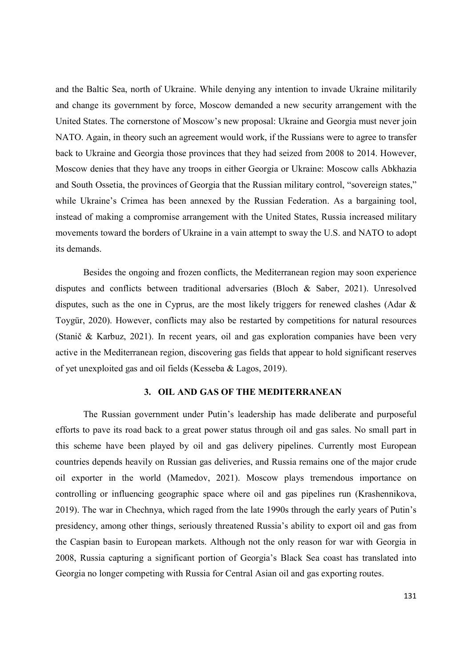and the Baltic Sea, north of Ukraine. While denying any intention to invade Ukraine militarily and change its government by force, Moscow demanded a new security arrangement with the United States. The cornerstone of Moscow's new proposal: Ukraine and Georgia must never join NATO. Again, in theory such an agreement would work, if the Russians were to agree to transfer back to Ukraine and Georgia those provinces that they had seized from 2008 to 2014. However, Moscow denies that they have any troops in either Georgia or Ukraine: Moscow calls Abkhazia and South Ossetia, the provinces of Georgia that the Russian military control, "sovereign states," while Ukraine's Crimea has been annexed by the Russian Federation. As a bargaining tool, instead of making a compromise arrangement with the United States, Russia increased military movements toward the borders of Ukraine in a vain attempt to sway the U.S. and NATO to adopt its demands.

Besides the ongoing and frozen conflicts, the Mediterranean region may soon experience disputes and conflicts between traditional adversaries (Bloch & Saber, 2021). Unresolved disputes, such as the one in Cyprus, are the most likely triggers for renewed clashes (Adar & Toygür, 2020). However, conflicts may also be restarted by competitions for natural resources (Stanič & Karbuz, 2021). In recent years, oil and gas exploration companies have been very active in the Mediterranean region, discovering gas fields that appear to hold significant reserves of yet unexploited gas and oil fields (Kesseba & Lagos, 2019).

#### 3. OIL AND GAS OF THE MEDITERRANEAN

The Russian government under Putin's leadership has made deliberate and purposeful efforts to pave its road back to a great power status through oil and gas sales. No small part in this scheme have been played by oil and gas delivery pipelines. Currently most European countries depends heavily on Russian gas deliveries, and Russia remains one of the major crude oil exporter in the world (Mamedov, 2021). Moscow plays tremendous importance on controlling or influencing geographic space where oil and gas pipelines run (Krashennikova, 2019). The war in Chechnya, which raged from the late 1990s through the early years of Putin's presidency, among other things, seriously threatened Russia's ability to export oil and gas from the Caspian basin to European markets. Although not the only reason for war with Georgia in 2008, Russia capturing a significant portion of Georgia's Black Sea coast has translated into Georgia no longer competing with Russia for Central Asian oil and gas exporting routes.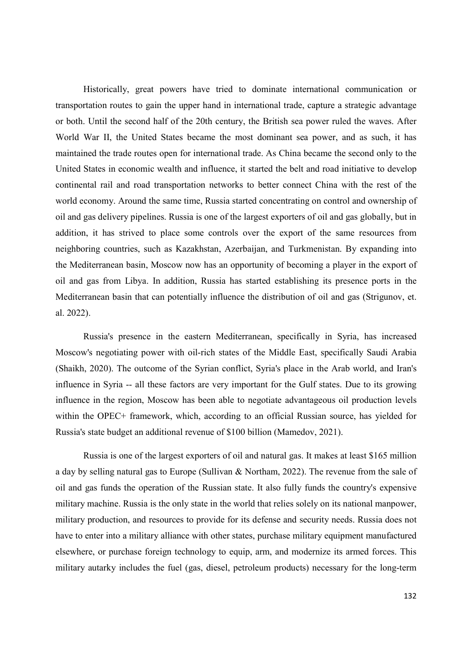Historically, great powers have tried to dominate international communication or transportation routes to gain the upper hand in international trade, capture a strategic advantage or both. Until the second half of the 20th century, the British sea power ruled the waves. After World War II, the United States became the most dominant sea power, and as such, it has maintained the trade routes open for international trade. As China became the second only to the United States in economic wealth and influence, it started the belt and road initiative to develop continental rail and road transportation networks to better connect China with the rest of the world economy. Around the same time, Russia started concentrating on control and ownership of oil and gas delivery pipelines. Russia is one of the largest exporters of oil and gas globally, but in addition, it has strived to place some controls over the export of the same resources from neighboring countries, such as Kazakhstan, Azerbaijan, and Turkmenistan. By expanding into the Mediterranean basin, Moscow now has an opportunity of becoming a player in the export of oil and gas from Libya. In addition, Russia has started establishing its presence ports in the Mediterranean basin that can potentially influence the distribution of oil and gas (Strigunov, et. al. 2022).

Russia's presence in the eastern Mediterranean, specifically in Syria, has increased Moscow's negotiating power with oil-rich states of the Middle East, specifically Saudi Arabia (Shaikh, 2020). The outcome of the Syrian conflict, Syria's place in the Arab world, and Iran's influence in Syria -- all these factors are very important for the Gulf states. Due to its growing influence in the region, Moscow has been able to negotiate advantageous oil production levels within the OPEC+ framework, which, according to an official Russian source, has yielded for Russia's state budget an additional revenue of \$100 billion (Mamedov, 2021).

Russia is one of the largest exporters of oil and natural gas. It makes at least \$165 million a day by selling natural gas to Europe (Sullivan & Northam, 2022). The revenue from the sale of oil and gas funds the operation of the Russian state. It also fully funds the country's expensive military machine. Russia is the only state in the world that relies solely on its national manpower, military production, and resources to provide for its defense and security needs. Russia does not have to enter into a military alliance with other states, purchase military equipment manufactured elsewhere, or purchase foreign technology to equip, arm, and modernize its armed forces. This military autarky includes the fuel (gas, diesel, petroleum products) necessary for the long-term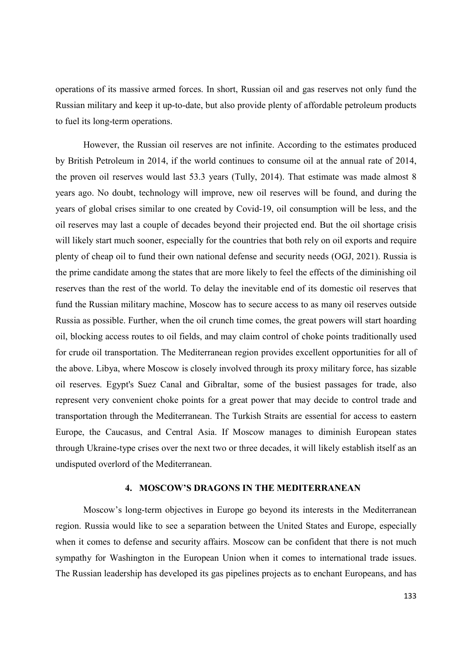operations of its massive armed forces. In short, Russian oil and gas reserves not only fund the Russian military and keep it up-to-date, but also provide plenty of affordable petroleum products to fuel its long-term operations.

However, the Russian oil reserves are not infinite. According to the estimates produced by British Petroleum in 2014, if the world continues to consume oil at the annual rate of 2014, the proven oil reserves would last 53.3 years (Tully, 2014). That estimate was made almost 8 years ago. No doubt, technology will improve, new oil reserves will be found, and during the years of global crises similar to one created by Covid-19, oil consumption will be less, and the oil reserves may last a couple of decades beyond their projected end. But the oil shortage crisis will likely start much sooner, especially for the countries that both rely on oil exports and require plenty of cheap oil to fund their own national defense and security needs (OGJ, 2021). Russia is the prime candidate among the states that are more likely to feel the effects of the diminishing oil reserves than the rest of the world. To delay the inevitable end of its domestic oil reserves that fund the Russian military machine, Moscow has to secure access to as many oil reserves outside Russia as possible. Further, when the oil crunch time comes, the great powers will start hoarding oil, blocking access routes to oil fields, and may claim control of choke points traditionally used for crude oil transportation. The Mediterranean region provides excellent opportunities for all of the above. Libya, where Moscow is closely involved through its proxy military force, has sizable oil reserves. Egypt's Suez Canal and Gibraltar, some of the busiest passages for trade, also represent very convenient choke points for a great power that may decide to control trade and transportation through the Mediterranean. The Turkish Straits are essential for access to eastern Europe, the Caucasus, and Central Asia. If Moscow manages to diminish European states through Ukraine-type crises over the next two or three decades, it will likely establish itself as an undisputed overlord of the Mediterranean.

#### 4. MOSCOW'S DRAGONS IN THE MEDITERRANEAN

Moscow's long-term objectives in Europe go beyond its interests in the Mediterranean region. Russia would like to see a separation between the United States and Europe, especially when it comes to defense and security affairs. Moscow can be confident that there is not much sympathy for Washington in the European Union when it comes to international trade issues. The Russian leadership has developed its gas pipelines projects as to enchant Europeans, and has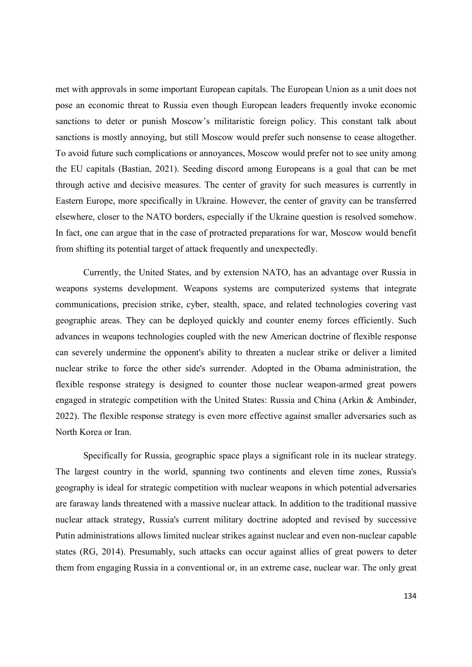met with approvals in some important European capitals. The European Union as a unit does not pose an economic threat to Russia even though European leaders frequently invoke economic sanctions to deter or punish Moscow's militaristic foreign policy. This constant talk about sanctions is mostly annoying, but still Moscow would prefer such nonsense to cease altogether. To avoid future such complications or annoyances, Moscow would prefer not to see unity among the EU capitals (Bastian, 2021). Seeding discord among Europeans is a goal that can be met through active and decisive measures. The center of gravity for such measures is currently in Eastern Europe, more specifically in Ukraine. However, the center of gravity can be transferred elsewhere, closer to the NATO borders, especially if the Ukraine question is resolved somehow. In fact, one can argue that in the case of protracted preparations for war, Moscow would benefit from shifting its potential target of attack frequently and unexpectedly.

Currently, the United States, and by extension NATO, has an advantage over Russia in weapons systems development. Weapons systems are computerized systems that integrate communications, precision strike, cyber, stealth, space, and related technologies covering vast geographic areas. They can be deployed quickly and counter enemy forces efficiently. Such advances in weapons technologies coupled with the new American doctrine of flexible response can severely undermine the opponent's ability to threaten a nuclear strike or deliver a limited nuclear strike to force the other side's surrender. Adopted in the Obama administration, the flexible response strategy is designed to counter those nuclear weapon-armed great powers engaged in strategic competition with the United States: Russia and China (Arkin & Ambinder, 2022). The flexible response strategy is even more effective against smaller adversaries such as North Korea or Iran.

Specifically for Russia, geographic space plays a significant role in its nuclear strategy. The largest country in the world, spanning two continents and eleven time zones, Russia's geography is ideal for strategic competition with nuclear weapons in which potential adversaries are faraway lands threatened with a massive nuclear attack. In addition to the traditional massive nuclear attack strategy, Russia's current military doctrine adopted and revised by successive Putin administrations allows limited nuclear strikes against nuclear and even non-nuclear capable states (RG, 2014). Presumably, such attacks can occur against allies of great powers to deter them from engaging Russia in a conventional or, in an extreme case, nuclear war. The only great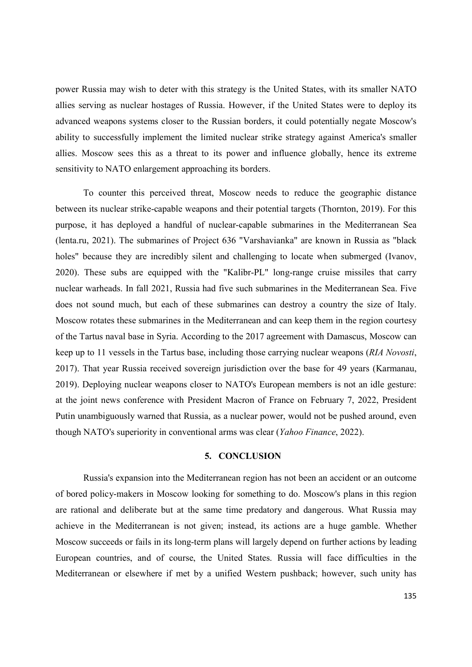power Russia may wish to deter with this strategy is the United States, with its smaller NATO allies serving as nuclear hostages of Russia. However, if the United States were to deploy its advanced weapons systems closer to the Russian borders, it could potentially negate Moscow's ability to successfully implement the limited nuclear strike strategy against America's smaller allies. Moscow sees this as a threat to its power and influence globally, hence its extreme sensitivity to NATO enlargement approaching its borders.

To counter this perceived threat, Moscow needs to reduce the geographic distance between its nuclear strike-capable weapons and their potential targets (Thornton, 2019). For this purpose, it has deployed a handful of nuclear-capable submarines in the Mediterranean Sea (lenta.ru, 2021). The submarines of Project 636 "Varshavianka" are known in Russia as "black holes" because they are incredibly silent and challenging to locate when submerged (Ivanov, 2020). These subs are equipped with the "Kalibr-PL" long-range cruise missiles that carry nuclear warheads. In fall 2021, Russia had five such submarines in the Mediterranean Sea. Five does not sound much, but each of these submarines can destroy a country the size of Italy. Moscow rotates these submarines in the Mediterranean and can keep them in the region courtesy of the Tartus naval base in Syria. According to the 2017 agreement with Damascus, Moscow can keep up to 11 vessels in the Tartus base, including those carrying nuclear weapons (RIA Novosti, 2017). That year Russia received sovereign jurisdiction over the base for 49 years (Karmanau, 2019). Deploying nuclear weapons closer to NATO's European members is not an idle gesture: at the joint news conference with President Macron of France on February 7, 2022, President Putin unambiguously warned that Russia, as a nuclear power, would not be pushed around, even though NATO's superiority in conventional arms was clear (Yahoo Finance, 2022).

#### 5. CONCLUSION

Russia's expansion into the Mediterranean region has not been an accident or an outcome of bored policy-makers in Moscow looking for something to do. Moscow's plans in this region are rational and deliberate but at the same time predatory and dangerous. What Russia may achieve in the Mediterranean is not given; instead, its actions are a huge gamble. Whether Moscow succeeds or fails in its long-term plans will largely depend on further actions by leading European countries, and of course, the United States. Russia will face difficulties in the Mediterranean or elsewhere if met by a unified Western pushback; however, such unity has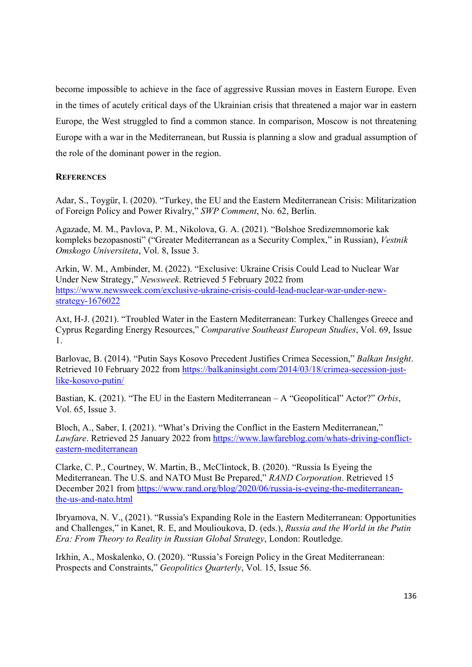become impossible to achieve in the face of aggressive Russian moves in Eastern Europe. Even in the times of acutely critical days of the Ukrainian crisis that threatened a major war in eastern Europe, the West struggled to find a common stance. In comparison, Moscow is not threatening Europe with a war in the Mediterranean, but Russia is planning a slow and gradual assumption of the role of the dominant power in the region.

## **REFERENCES**

Adar, S., Toygür, I. (2020). "Turkey, the EU and the Eastern Mediterranean Crisis: Militarization of Foreign Policy and Power Rivalry," SWP Comment, No. 62, Berlin.

Agazade, M. M., Pavlova, P. M., Nikolova, G. A. (2021). "Bolshoe Sredizemnomorie kak kompleks bezopasnosti" ("Greater Mediterranean as a Security Complex," in Russian), Vestnik Omskogo Universiteta, Vol. 8, Issue 3.

Arkin, W. M., Ambinder, M. (2022). "Exclusive: Ukraine Crisis Could Lead to Nuclear War Under New Strategy," Newsweek. Retrieved 5 February 2022 from https://www.newsweek.com/exclusive-ukraine-crisis-could-lead-nuclear-war-under-newstrategy-1676022

Axt, H-J. (2021). "Troubled Water in the Eastern Mediterranean: Turkey Challenges Greece and Cyprus Regarding Energy Resources," Comparative Southeast European Studies, Vol. 69, Issue 1.

Barlovac, B. (2014). "Putin Says Kosovo Precedent Justifies Crimea Secession," Balkan Insight. Retrieved 10 February 2022 from https://balkaninsight.com/2014/03/18/crimea-secession-justlike-kosovo-putin/

Bastian, K. (2021). "The EU in the Eastern Mediterranean – A "Geopolitical" Actor?" Orbis, Vol. 65, Issue 3.

Bloch, A., Saber, I. (2021). "What's Driving the Conflict in the Eastern Mediterranean," Lawfare. Retrieved 25 January 2022 from https://www.lawfareblog.com/whats-driving-conflicteastern-mediterranean

Clarke, C. P., Courtney, W. Martin, B., McClintock, B. (2020). "Russia Is Eyeing the Mediterranean. The U.S. and NATO Must Be Prepared," RAND Corporation. Retrieved 15 December 2021 from https://www.rand.org/blog/2020/06/russia-is-eyeing-the-mediterraneanthe-us-and-nato.html

Ibryamova, N. V., (2021). "Russia's Expanding Role in the Eastern Mediterranean: Opportunities and Challenges," in Kanet, R. E, and Moulioukova, D. (eds.), Russia and the World in the Putin Era: From Theory to Reality in Russian Global Strategy, London: Routledge.

Irkhin, A., Moskalenko, O. (2020). "Russia's Foreign Policy in the Great Mediterranean: Prospects and Constraints," Geopolitics Quarterly, Vol. 15, Issue 56.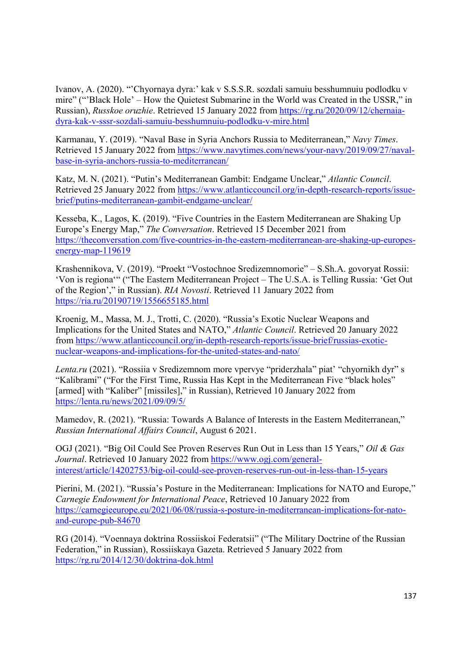Ivanov, A. (2020). "'Chyornaya dyra:' kak v S.S.S.R. sozdali samuiu besshumnuiu podlodku v mire" ("'Black Hole' – How the Quietest Submarine in the World was Created in the USSR," in Russian), Russkoe oruzhie. Retrieved 15 January 2022 from https://rg.ru/2020/09/12/chernaiadyra-kak-v-sssr-sozdali-samuiu-besshumnuiu-podlodku-v-mire.html

Karmanau, Y. (2019). "Naval Base in Syria Anchors Russia to Mediterranean," Navy Times. Retrieved 15 January 2022 from https://www.navytimes.com/news/your-navy/2019/09/27/navalbase-in-syria-anchors-russia-to-mediterranean/

Katz, M. N. (2021). "Putin's Mediterranean Gambit: Endgame Unclear," Atlantic Council. Retrieved 25 January 2022 from https://www.atlanticcouncil.org/in-depth-research-reports/issuebrief/putins-mediterranean-gambit-endgame-unclear/

Kesseba, K., Lagos, K. (2019). "Five Countries in the Eastern Mediterranean are Shaking Up Europe's Energy Map," The Conversation. Retrieved 15 December 2021 from https://theconversation.com/five-countries-in-the-eastern-mediterranean-are-shaking-up-europesenergy-map-119619

Krashennikova, V. (2019). "Proekt "Vostochnoe Sredizemnomorie" – S.Sh.A. govoryat Rossii: 'Von is regiona'" ("The Eastern Mediterranean Project – The U.S.A. is Telling Russia: 'Get Out of the Region'," in Russian). RIA Novosti. Retrieved 11 January 2022 from https://ria.ru/20190719/1556655185.html

Kroenig, M., Massa, M. J., Trotti, C. (2020). "Russia's Exotic Nuclear Weapons and Implications for the United States and NATO," Atlantic Council. Retrieved 20 January 2022 from https://www.atlanticcouncil.org/in-depth-research-reports/issue-brief/russias-exoticnuclear-weapons-and-implications-for-the-united-states-and-nato/

Lenta.ru (2021). "Rossiia v Sredizemnom more vpervye "priderzhala" piat' "chyornikh dyr" s "Kalibrami" ("For the First Time, Russia Has Kept in the Mediterranean Five "black holes" [armed] with "Kaliber" [missiles]," in Russian), Retrieved 10 January 2022 from https://lenta.ru/news/2021/09/09/5/

Mamedov, R. (2021). "Russia: Towards A Balance of Interests in the Eastern Mediterranean," Russian International Affairs Council, August 6 2021.

OGJ (2021). "Big Oil Could See Proven Reserves Run Out in Less than 15 Years," Oil & Gas Journal. Retrieved 10 January 2022 from https://www.ogj.com/generalinterest/article/14202753/big-oil-could-see-proven-reserves-run-out-in-less-than-15-years

Pierini, M. (2021). "Russia's Posture in the Mediterranean: Implications for NATO and Europe," Carnegie Endowment for International Peace, Retrieved 10 January 2022 from https://carnegieeurope.eu/2021/06/08/russia-s-posture-in-mediterranean-implications-for-natoand-europe-pub-84670

RG (2014). "Voennaya doktrina Rossiiskoi Federatsii" ("The Military Doctrine of the Russian Federation," in Russian), Rossiiskaya Gazeta. Retrieved 5 January 2022 from https://rg.ru/2014/12/30/doktrina-dok.html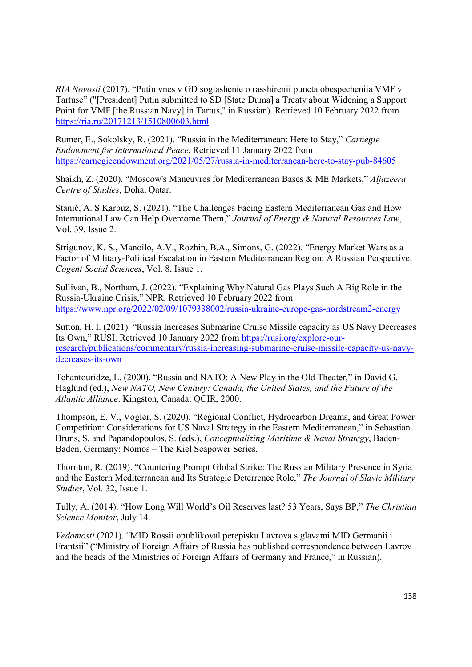RIA Novosti (2017). "Putin vnes v GD soglashenie o rasshirenii puncta obespecheniia VMF v Tartuse" ("[President] Putin submitted to SD [State Duma] a Treaty about Widening a Support Point for VMF [the Russian Navy] in Tartus," in Russian). Retrieved 10 February 2022 from https://ria.ru/20171213/1510800603.html

Rumer, E., Sokolsky, R. (2021). "Russia in the Mediterranean: Here to Stay," Carnegie Endowment for International Peace, Retrieved 11 January 2022 from https://carnegieendowment.org/2021/05/27/russia-in-mediterranean-here-to-stay-pub-84605

Shaikh, Z. (2020). "Moscow's Maneuvres for Mediterranean Bases & ME Markets," Aljazeera Centre of Studies, Doha, Qatar.

Stanič, A. S Karbuz, S. (2021). "The Challenges Facing Eastern Mediterranean Gas and How International Law Can Help Overcome Them," Journal of Energy & Natural Resources Law, Vol. 39, Issue 2.

Strigunov, K. S., Manoilo, A.V., Rozhin, B.A., Simons, G. (2022). "Energy Market Wars as a Factor of Military-Political Escalation in Eastern Mediterranean Region: A Russian Perspective. Cogent Social Sciences, Vol. 8, Issue 1.

Sullivan, B., Northam, J. (2022). "Explaining Why Natural Gas Plays Such A Big Role in the Russia-Ukraine Crisis," NPR. Retrieved 10 February 2022 from https://www.npr.org/2022/02/09/1079338002/russia-ukraine-europe-gas-nordstream2-energy

Sutton, H. I. (2021). "Russia Increases Submarine Cruise Missile capacity as US Navy Decreases Its Own," RUSI. Retrieved 10 January 2022 from https://rusi.org/explore-ourresearch/publications/commentary/russia-increasing-submarine-cruise-missile-capacity-us-navydecreases-its-own

Tchantouridze, L. (2000). "Russia and NATO: A New Play in the Old Theater," in David G. Haglund (ed.), New NATO, New Century: Canada, the United States, and the Future of the Atlantic Alliance. Kingston, Canada: QCIR, 2000.

Thompson, E. V., Vogler, S. (2020). "Regional Conflict, Hydrocarbon Dreams, and Great Power Competition: Considerations for US Naval Strategy in the Eastern Mediterranean," in Sebastian Bruns, S. and Papandopoulos, S. (eds.), Conceptualizing Maritime & Naval Strategy, Baden-Baden, Germany: Nomos – The Kiel Seapower Series.

Thornton, R. (2019). "Countering Prompt Global Strike: The Russian Military Presence in Syria and the Eastern Mediterranean and Its Strategic Deterrence Role," The Journal of Slavic Military Studies, Vol. 32, Issue 1.

Tully, A. (2014). "How Long Will World's Oil Reserves last? 53 Years, Says BP," The Christian Science Monitor, July 14.

Vedomosti (2021). "MID Rossii opublikoval perepisku Lavrova s glavami MID Germanii i Frantsii" ("Ministry of Foreign Affairs of Russia has published correspondence between Lavrov and the heads of the Ministries of Foreign Affairs of Germany and France," in Russian).